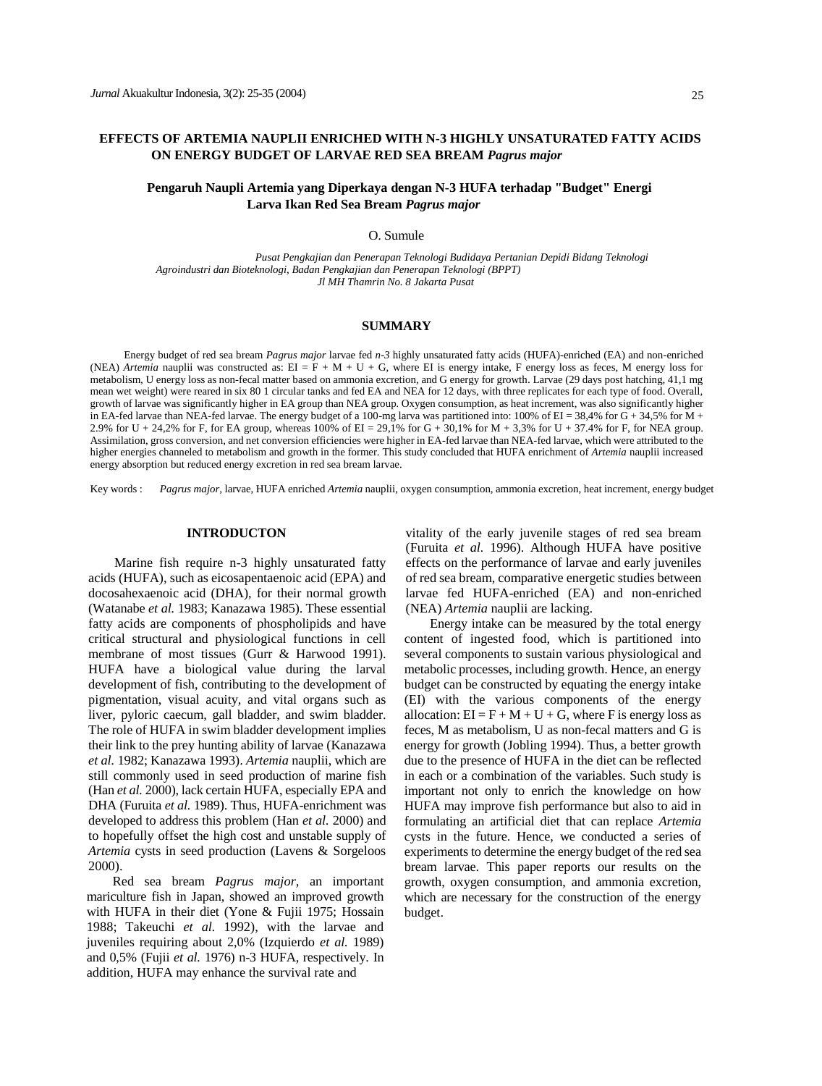# **EFFECTS OF ARTEMIA NAUPLII ENRICHED WITH N-3 HIGHLY UNSATURATED FATTY ACIDS ON ENERGY BUDGET OF LARVAE RED SEA BREAM** *Pagrus major*

# **Pengaruh Naupli Artemia yang Diperkaya dengan N-3 HUFA terhadap "Budget" Energi Larva Ikan Red Sea Bream** *Pagrus major*

## O. Sumule

*Pusat Pengkajian dan Penerapan Teknologi Budidaya Pertanian Depidi Bidang Teknologi Agroindustri dan Bioteknologi, Badan Pengkajian dan Penerapan Teknologi (BPPT) Jl MH Thamrin No. 8 Jakarta Pusat*

## **SUMMARY**

Energy budget of red sea bream *Pagrus major* larvae fed *n-3* highly unsaturated fatty acids (HUFA)-enriched (EA) and non-enriched (NEA) *Artemia* nauplii was constructed as: EI = F + M + U + G, where EI is energy intake, F energy loss as feces, M energy loss for metabolism, U energy loss as non-fecal matter based on ammonia excretion, and G energy for growth. Larvae (29 days post hatching, 41,1 mg mean wet weight) were reared in six 80 1 circular tanks and fed EA and NEA for 12 days, with three replicates for each type of food. Overall, growth of larvae was significantly higher in EA group than NEA group. Oxygen consumption, as heat increment, was also significantly higher in EA-fed larvae than NEA-fed larvae. The energy budget of a 100-mg larva was partitioned into: 100% of EI = 38,4% for G + 34,5% for M + 2.9% for U + 24,2% for F, for EA group, whereas 100% of EI = 29,1% for G + 30,1% for M + 3,3% for U + 37.4% for F, for NEA group. Assimilation, gross conversion, and net conversion efficiencies were higher in EA-fed larvae than NEA-fed larvae, which were attributed to the higher energies channeled to metabolism and growth in the former. This study concluded that HUFA enrichment of *Artemia* nauplii increased energy absorption but reduced energy excretion in red sea bream larvae.

Key words : *Pagrus major,* larvae, HUFA enriched *Artemia* nauplii, oxygen consumption, ammonia excretion, heat increment, energy budget

## **INTRODUCTON**

Marine fish require n-3 highly unsaturated fatty acids (HUFA), such as eicosapentaenoic acid (EPA) and docosahexaenoic acid (DHA), for their normal growth (Watanabe *et al.* 1983; Kanazawa 1985). These essential fatty acids are components of phospholipids and have critical structural and physiological functions in cell membrane of most tissues (Gurr & Harwood 1991). HUFA have a biological value during the larval development of fish, contributing to the development of pigmentation, visual acuity, and vital organs such as liver, pyloric caecum, gall bladder, and swim bladder. The role of HUFA in swim bladder development implies their link to the prey hunting ability of larvae (Kanazawa *et al.* 1982; Kanazawa 1993). *Artemia* nauplii, which are still commonly used in seed production of marine fish (Han *et al.* 2000), lack certain HUFA, especially EPA and DHA (Furuita *et al.* 1989). Thus, HUFA-enrichment was developed to address this problem (Han *et al.* 2000) and to hopefully offset the high cost and unstable supply of *Artemia* cysts in seed production (Lavens & Sorgeloos 2000).

Red sea bream *Pagrus major,* an important mariculture fish in Japan, showed an improved growth with HUFA in their diet (Yone & Fujii 1975; Hossain 1988; Takeuchi *et al.* 1992), with the larvae and juveniles requiring about 2,0% (Izquierdo *et al.* 1989) and 0,5% (Fujii *et al.* 1976) n-3 HUFA, respectively. In addition, HUFA may enhance the survival rate and

vitality of the early juvenile stages of red sea bream (Furuita *et al.* 1996). Although HUFA have positive effects on the performance of larvae and early juveniles of red sea bream, comparative energetic studies between larvae fed HUFA-enriched (EA) and non-enriched (NEA) *Artemia* nauplii are lacking.

Energy intake can be measured by the total energy content of ingested food, which is partitioned into several components to sustain various physiological and metabolic processes, including growth. Hence, an energy budget can be constructed by equating the energy intake (EI) with the various components of the energy allocation:  $EI = F + M + U + G$ , where F is energy loss as feces, M as metabolism, U as non-fecal matters and G is energy for growth (Jobling 1994). Thus, a better growth due to the presence of HUFA in the diet can be reflected in each or a combination of the variables. Such study is important not only to enrich the knowledge on how HUFA may improve fish performance but also to aid in formulating an artificial diet that can replace *Artemia*  cysts in the future. Hence, we conducted a series of experiments to determine the energy budget of the red sea bream larvae. This paper reports our results on the growth, oxygen consumption, and ammonia excretion, which are necessary for the construction of the energy budget.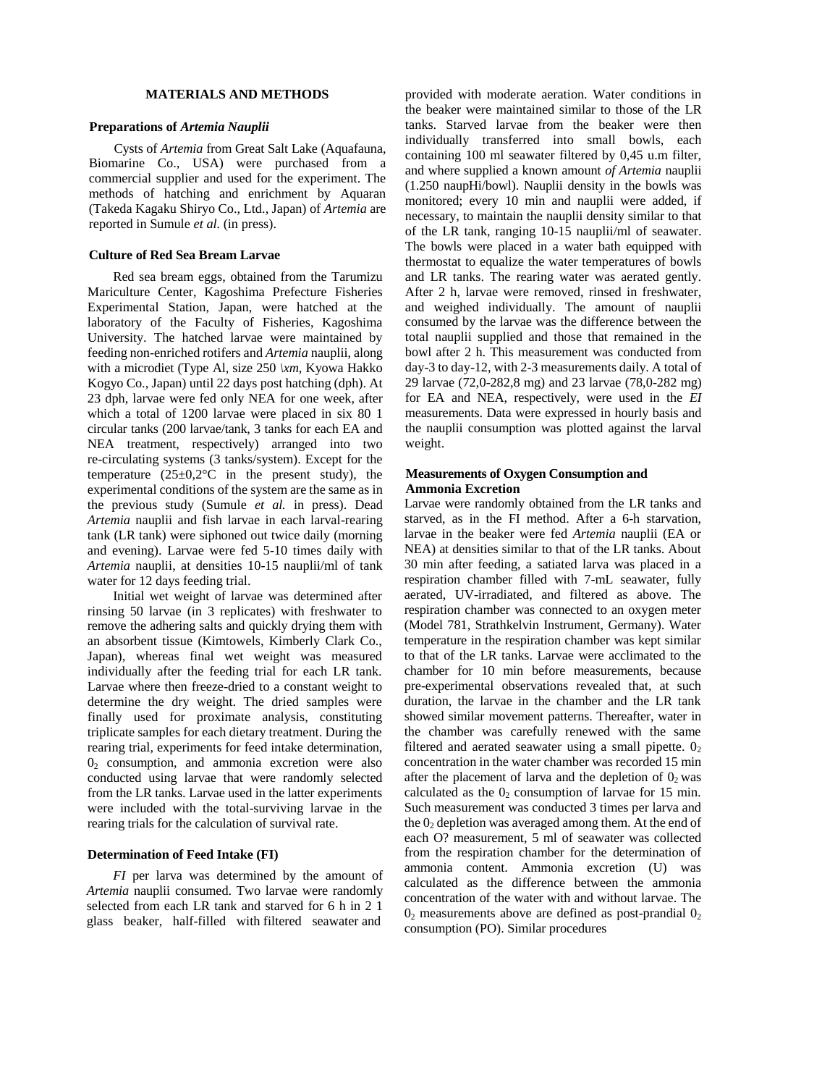### **MATERIALS AND METHODS**

## **Preparations of** *Artemia Nauplii*

Cysts of *Artemia* from Great Salt Lake (Aquafauna, Biomarine Co., USA) were purchased from a commercial supplier and used for the experiment. The methods of hatching and enrichment by Aquaran (Takeda Kagaku Shiryo Co., Ltd., Japan) of *Artemia* are reported in Sumule *et al.* (in press).

### **Culture of Red Sea Bream Larvae**

Red sea bream eggs, obtained from the Tarumizu Mariculture Center, Kagoshima Prefecture Fisheries Experimental Station, Japan, were hatched at the laboratory of the Faculty of Fisheries, Kagoshima University. The hatched larvae were maintained by feeding non-enriched rotifers and *Artemia* nauplii, along with a microdiet (Type Al, size 250 *\xm,* Kyowa Hakko Kogyo Co., Japan) until 22 days post hatching (dph). At 23 dph, larvae were fed only NEA for one week, after which a total of 1200 larvae were placed in six 80 1 circular tanks (200 larvae/tank, 3 tanks for each EA and NEA treatment, respectively) arranged into two re-circulating systems (3 tanks/system). Except for the temperature  $(25\pm0.2^{\circ}\text{C}$  in the present study), the experimental conditions of the system are the same as in the previous study (Sumule *et al.* in press). Dead *Artemia* nauplii and fish larvae in each larval-rearing tank (LR tank) were siphoned out twice daily (morning and evening). Larvae were fed 5-10 times daily with *Artemia* nauplii, at densities 10-15 nauplii/ml of tank water for 12 days feeding trial.

Initial wet weight of larvae was determined after rinsing 50 larvae (in 3 replicates) with freshwater to remove the adhering salts and quickly drying them with an absorbent tissue (Kimtowels, Kimberly Clark Co., Japan), whereas final wet weight was measured individually after the feeding trial for each LR tank. Larvae where then freeze-dried to a constant weight to determine the dry weight. The dried samples were finally used for proximate analysis, constituting triplicate samples for each dietary treatment. During the rearing trial, experiments for feed intake determination,  $0<sub>2</sub>$  consumption, and ammonia excretion were also conducted using larvae that were randomly selected from the LR tanks. Larvae used in the latter experiments were included with the total-surviving larvae in the rearing trials for the calculation of survival rate.

## **Determination of Feed Intake (FI)**

*FI* per larva was determined by the amount of *Artemia* nauplii consumed. Two larvae were randomly selected from each LR tank and starved for 6 h in 2 1 glass beaker, half-filled with filtered seawater and

provided with moderate aeration. Water conditions in the beaker were maintained similar to those of the LR tanks. Starved larvae from the beaker were then individually transferred into small bowls, each containing 100 ml seawater filtered by 0,45 u.m filter, and where supplied a known amount *of Artemia* nauplii (1.250 naupHi/bowl). Nauplii density in the bowls was monitored; every 10 min and nauplii were added, if necessary, to maintain the nauplii density similar to that of the LR tank, ranging 10-15 nauplii/ml of seawater. The bowls were placed in a water bath equipped with thermostat to equalize the water temperatures of bowls and LR tanks. The rearing water was aerated gently. After 2 h, larvae were removed, rinsed in freshwater, and weighed individually. The amount of nauplii consumed by the larvae was the difference between the total nauplii supplied and those that remained in the bowl after 2 h. This measurement was conducted from day-3 to day-12, with 2-3 measurements daily. A total of 29 larvae (72,0-282,8 mg) and 23 larvae (78,0-282 mg) for EA and NEA, respectively, were used in the *EI*  measurements. Data were expressed in hourly basis and the nauplii consumption was plotted against the larval weight.

## **Measurements of Oxygen Consumption and Ammonia Excretion**

Larvae were randomly obtained from the LR tanks and starved, as in the FI method. After a 6-h starvation, larvae in the beaker were fed *Artemia* nauplii (EA or NEA) at densities similar to that of the LR tanks. About 30 min after feeding, a satiated larva was placed in a respiration chamber filled with 7-mL seawater, fully aerated, UV-irradiated, and filtered as above. The respiration chamber was connected to an oxygen meter (Model 781, Strathkelvin Instrument, Germany). Water temperature in the respiration chamber was kept similar to that of the LR tanks. Larvae were acclimated to the chamber for 10 min before measurements, because pre-experimental observations revealed that, at such duration, the larvae in the chamber and the LR tank showed similar movement patterns. Thereafter, water in the chamber was carefully renewed with the same filtered and aerated seawater using a small pipette.  $0<sub>2</sub>$ concentration in the water chamber was recorded 15 min after the placement of larva and the depletion of  $0<sub>2</sub>$  was calculated as the  $0<sub>2</sub>$  consumption of larvae for 15 min. Such measurement was conducted 3 times per larva and the  $0<sub>2</sub>$  depletion was averaged among them. At the end of each O? measurement, 5 ml of seawater was collected from the respiration chamber for the determination of ammonia content. Ammonia excretion (U) was calculated as the difference between the ammonia concentration of the water with and without larvae. The  $0_2$  measurements above are defined as post-prandial  $0_2$ consumption (PO). Similar procedures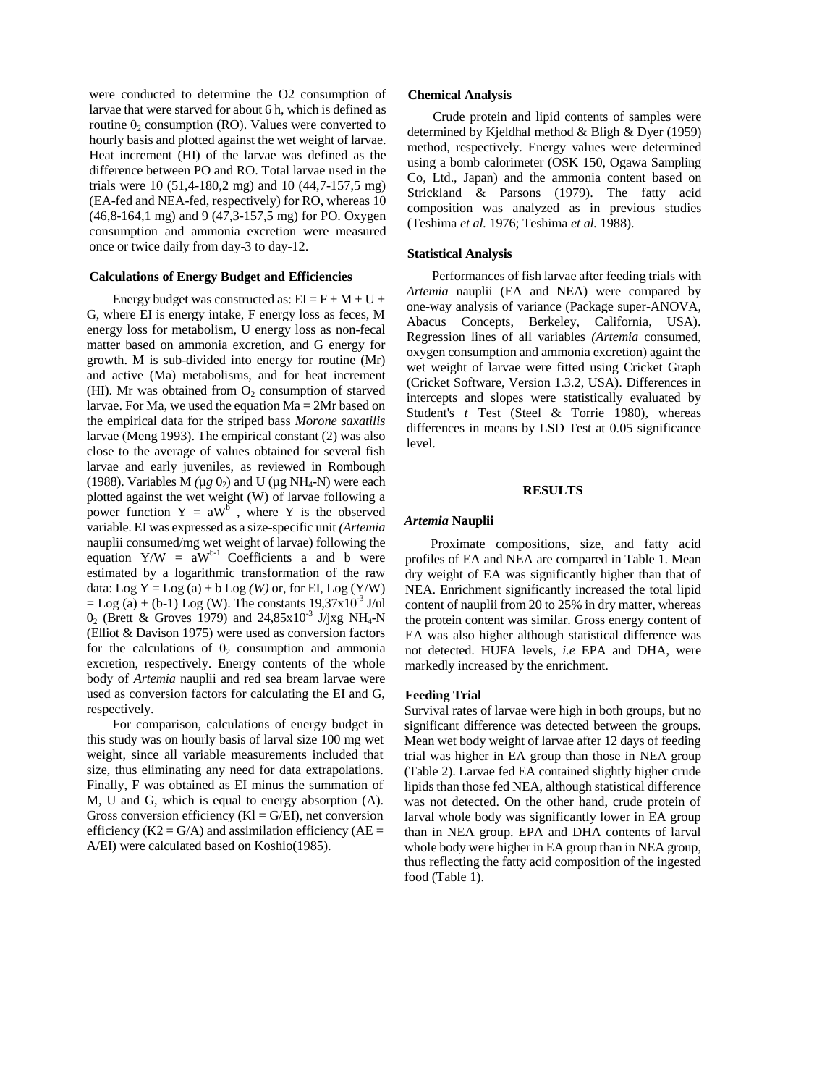were conducted to determine the O2 consumption of larvae that were starved for about 6 h, which is defined as routine  $0_2$  consumption (RO). Values were converted to hourly basis and plotted against the wet weight of larvae. Heat increment (HI) of the larvae was defined as the difference between PO and RO. Total larvae used in the trials were 10 (51,4-180,2 mg) and 10 (44,7-157,5 mg) (EA-fed and NEA-fed, respectively) for RO, whereas 10 (46,8-164,1 mg) and 9 (47,3-157,5 mg) for PO. Oxygen consumption and ammonia excretion were measured once or twice daily from day-3 to day-12.

#### **Calculations of Energy Budget and Efficiencies**

Energy budget was constructed as:  $EI = F + M + U +$ G, where EI is energy intake, F energy loss as feces, M energy loss for metabolism, U energy loss as non-fecal matter based on ammonia excretion, and G energy for growth. M is sub-divided into energy for routine (Mr) and active (Ma) metabolisms, and for heat increment (HI). Mr was obtained from  $O_2$  consumption of starved larvae. For Ma, we used the equation  $Ma = 2Mr$  based on the empirical data for the striped bass *Morone saxatilis*  larvae (Meng 1993). The empirical constant (2) was also close to the average of values obtained for several fish larvae and early juveniles, as reviewed in Rombough (1988). Variables M  $(\mu g 0_2)$  and U  $(\mu g NH_4-N)$  were each plotted against the wet weight (W) of larvae following a power function  $Y = aW^b$ , where Y is the observed variable. EI was expressed as a size-specific unit *(Artemia*  nauplii consumed/mg wet weight of larvae) following the equation  $Y/W = aW^{b-1}$  Coefficients a and b were estimated by a logarithmic transformation of the raw data: Log  $Y = Log(a) + b Log(W)$  or, for EI, Log  $(Y/W)$  $=$  Log (a) + (b-1) Log (W). The constants 19,37x10<sup>-3</sup> J/ul  $0_2$  (Brett & Groves 1979) and 24,85x10<sup>-3</sup> J/jxg NH<sub>4</sub>-N (Elliot & Davison 1975) were used as conversion factors for the calculations of  $0<sub>2</sub>$  consumption and ammonia excretion, respectively. Energy contents of the whole body of *Artemia* nauplii and red sea bream larvae were used as conversion factors for calculating the EI and G, respectively.

For comparison, calculations of energy budget in this study was on hourly basis of larval size 100 mg wet weight, since all variable measurements included that size, thus eliminating any need for data extrapolations. Finally, F was obtained as EI minus the summation of M, U and G, which is equal to energy absorption (A). Gross conversion efficiency  $(KI = G/EI)$ , net conversion efficiency ( $K2 = G/A$ ) and assimilation efficiency ( $AE =$ A/EI) were calculated based on Koshio(1985).

#### **Chemical Analysis**

Crude protein and lipid contents of samples were determined by Kjeldhal method & Bligh & Dyer (1959) method, respectively. Energy values were determined using a bomb calorimeter (OSK 150, Ogawa Sampling Co, Ltd., Japan) and the ammonia content based on Strickland & Parsons (1979). The fatty acid composition was analyzed as in previous studies (Teshima *et al.* 1976; Teshima *et al.* 1988).

#### **Statistical Analysis**

Performances of fish larvae after feeding trials with *Artemia* nauplii (EA and NEA) were compared by one-way analysis of variance (Package super-ANOVA, Abacus Concepts, Berkeley, California, USA). Regression lines of all variables *(Artemia* consumed, oxygen consumption and ammonia excretion) againt the wet weight of larvae were fitted using Cricket Graph (Cricket Software, Version 1.3.2, USA). Differences in intercepts and slopes were statistically evaluated by Student's *t* Test (Steel & Torrie 1980), whereas differences in means by LSD Test at 0.05 significance level.

#### **RESULTS**

#### *Artemia* **Nauplii**

Proximate compositions, size, and fatty acid profiles of EA and NEA are compared in Table 1. Mean dry weight of EA was significantly higher than that of NEA. Enrichment significantly increased the total lipid content of nauplii from 20 to 25% in dry matter, whereas the protein content was similar. Gross energy content of EA was also higher although statistical difference was not detected. HUFA levels, *i.e* EPA and DHA, were markedly increased by the enrichment.

#### **Feeding Trial**

Survival rates of larvae were high in both groups, but no significant difference was detected between the groups. Mean wet body weight of larvae after 12 days of feeding trial was higher in EA group than those in NEA group (Table 2). Larvae fed EA contained slightly higher crude lipids than those fed NEA, although statistical difference was not detected. On the other hand, crude protein of larval whole body was significantly lower in EA group than in NEA group. EPA and DHA contents of larval whole body were higher in EA group than in NEA group, thus reflecting the fatty acid composition of the ingested food (Table 1).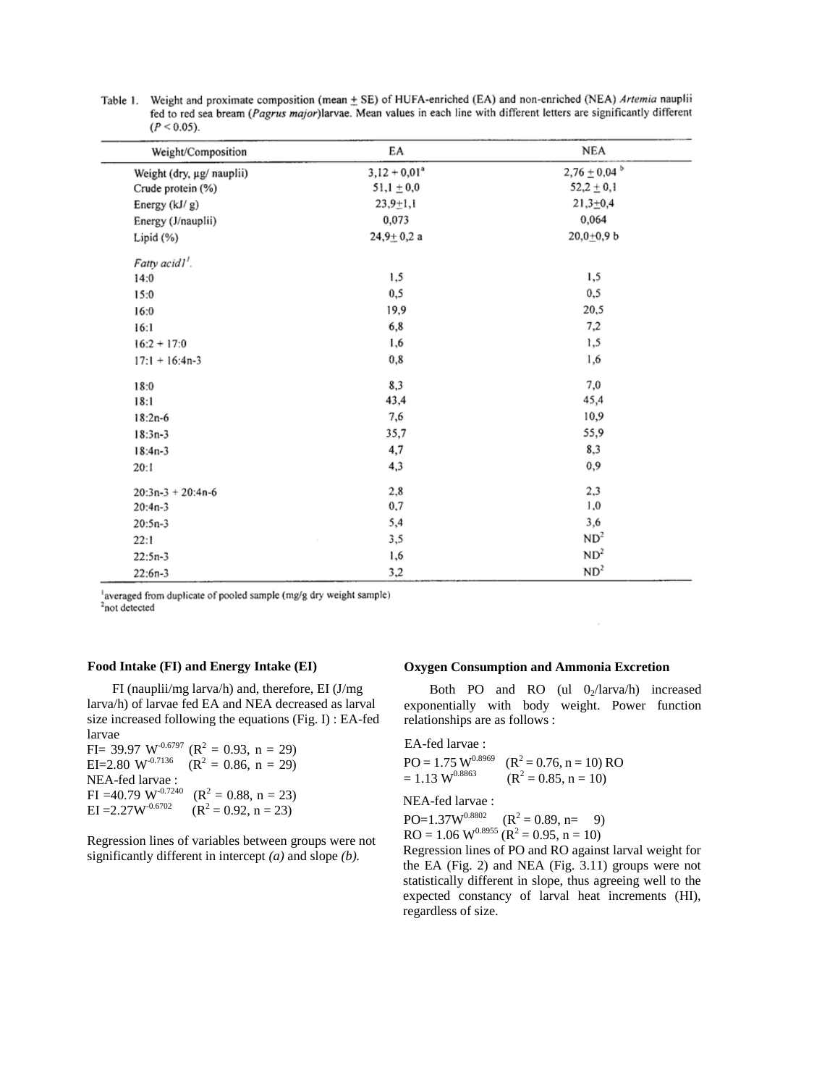| Weight/Composition        | EA              | NEA               |
|---------------------------|-----------------|-------------------|
| Weight (dry, µg/ nauplii) | $3,12 + 0,01^3$ | $2,76 \pm 0,04$ b |
| Crude protein (%)         | $51,1 \pm 0,0$  | $52,2 \pm 0,1$    |
| Energy (kJ/g)             | $23,9+1,1$      | $21,3+0,4$        |
| Energy (J/nauplii)        | 0,073           | 0,064             |
| Lipid (%)                 | $24,9+0,2a$     | $20,0+0,9$ b      |
| Fatty acid1'.             |                 |                   |
| 14:0                      | 1,5             | 1,5               |
| 15:0                      | 0, 5            | 0, 5              |
| 16:0                      | 19,9            | 20,5              |
| 16:1                      | 6,8             | 7,2               |
| $16:2 + 17:0$             | 1,6             | 1,5               |
| $17:1 + 16:4n-3$          | 0,8             | 1,6               |
| 18:0                      | 8,3             | 7,0               |
| 18:1                      | 43,4            | 45,4              |
| $18:2n-6$                 | 7,6             | 10,9              |
| $18:3n-3$                 | 35,7            | 55,9              |
| $18:4n-3$                 | 4,7             | 8,3               |
| 20:1                      | 4,3             | 0,9               |
| $20:3n-3 + 20:4n-6$       | 2,8             | 2,3               |
| $20:4n-3$                 | 0,7             | 1,0               |
| $20:5n-3$                 | 5,4             | 3,6               |
| 22:1                      | 3,5             | ND <sup>2</sup>   |
| $22:5n-3$                 | 1,6             | ND <sup>2</sup>   |
| $22:6n-3$                 | 3,2             | ND <sup>2</sup>   |

Table 1. Weight and proximate composition (mean ± SE) of HUFA-enriched (EA) and non-enriched (NEA) Artemia nauplii fed to red sea bream (Pagrus major)larvae. Mean values in each line with different letters are significantly different  $(D < 0.05)$ 

'averaged from duplicate of pooled sample (mg/g dry weight sample) <sup>2</sup>not detected

## **Food Intake (FI) and Energy Intake (EI)**

FI (nauplii/mg larva/h) and, therefore, EI (J/mg larva/h) of larvae fed EA and NEA decreased as larval size increased following the equations (Fig. I) : EA-fed larvae

 $FI = 39.97 W^{-0.6797} (R^2 = 0.93, n = 29)$ EI=2.80 W<sup>-0.7136</sup>  $(R^2 = 0.86, n = 29)$ NEA-fed larvae : FI =40.79 W<sup>-0.7240</sup> ( $R^2 = 0.88$ , n = 23)  $EI = 2.27W^{0.6702}$  $(R<sup>2</sup> = 0.92, n = 23)$ 

Regression lines of variables between groups were not significantly different in intercept *(a)* and slope *(b).*

### **Oxygen Consumption and Ammonia Excretion**

Both PO and RO (ul  $0<sub>2</sub>/larva/h$ ) increased exponentially with body weight. Power function relationships are as follows :

 $\cdot$ 

EA-fed larvae : PO = 1.75 W0.8969 (R<sup>2</sup> = 0.76, n = 10) RO = 1.13 W0.8863 (R<sup>2</sup> = 0.85, n = 10)

NEA-fed larvae :

 $PO=1.37W^{0.8802}$   $(R^2 = 0.89, n = 9)$  $RO = 1.06 W^{0.8955} (R^2 = 0.95, n = 10)$ 

Regression lines of PO and RO against larval weight for the EA (Fig. 2) and NEA (Fig. 3.11) groups were not statistically different in slope, thus agreeing well to the expected constancy of larval heat increments (HI), regardless of size.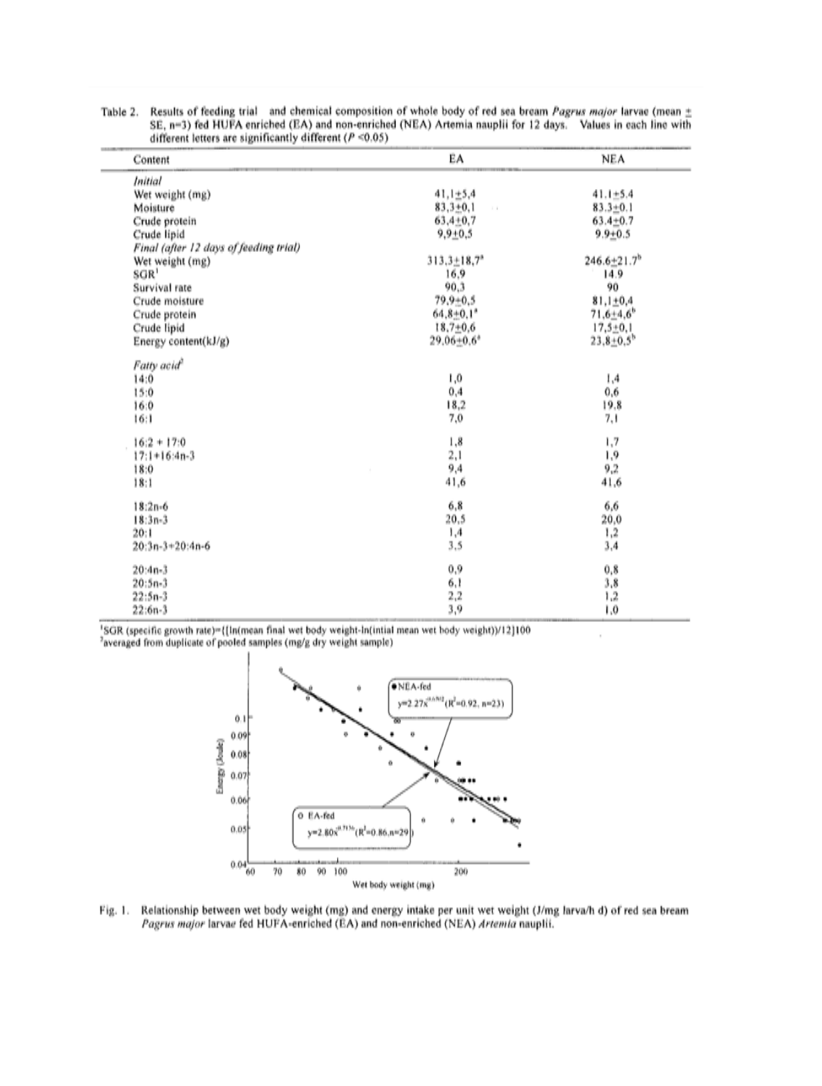| Content                                | EA                            | <b>NEA</b>                    |
|----------------------------------------|-------------------------------|-------------------------------|
| <b>Initial</b>                         |                               |                               |
| Wet weight (mg)                        | $41,1 \pm 5,4$                | $41.1 + 5.4$                  |
| Moisture                               | $83,3+0,1$<br>$\sim$          | $83.3 + 0.1$                  |
| Crude protein                          | $63,4+0,7$                    | $63.4 + 0.7$                  |
| Crude lipid                            | $9.9 + 0.5$                   | $9.9 + 0.5$                   |
| Final (after 12 days of feeding trial) |                               |                               |
| Wet weight (mg)                        | $313,3 \pm 18,7$ <sup>*</sup> | $246.6 \pm 21.7$ <sup>b</sup> |
| SGR <sup>1</sup>                       | 16.9                          | 14.9                          |
| Survival rate                          | 90.3                          | 90                            |
| Crude moisture                         | $79.9 + 0.5$                  | $81,1 \pm 0.4$                |
| Crude protein                          | $64.8 + 0.1$ <sup>*</sup>     | $71,6+4,6$ <sup>b</sup>       |
| Crude lipid                            | $18.7 + 0.6$                  | $17,5 \pm 0,1$                |
| Energy content(kJ/g)                   | $29.06 + 0.6$ <sup>*</sup>    | $23.8 \pm 0.5^b$              |
| Fatty acid <sup>2</sup>                |                               |                               |
| 14:0                                   | 0,1                           | 1,4                           |
| 15:0                                   | 0,4                           | 0, 6                          |
| 16:0                                   | 18,2                          | 19,8                          |
| 16:1                                   | 7,0                           | 7,1                           |
| $16:2 + 17:0$                          | 1,8                           | 1,7                           |
| $17:1+16:4n-3$                         | 2,1                           | 1,9                           |
| 18:0                                   | 9,4                           | 9,2                           |
| 18:1                                   | 41,6                          | 41,6                          |
| $18:2n-6$                              | 6,8                           | 6,6                           |
| $18:3n-3$                              | 20,5                          | 20,0                          |
| 20:1                                   | 1,4                           | 1,2                           |
| $20:3n-3+20:4n-6$                      | 3,5                           | 3,4                           |
| $20:4n-3$                              | 0,9                           | 0, 8                          |
| $20:5n-3$                              | 6,1                           | 3,8                           |
| $22:5n-3$                              | $^{2,2}$                      | 1,2                           |
| $22:6n-3$                              | 3,9                           | 0,1                           |

à.

Results of feeding trial and chemical composition of whole body of red sea bream Pagrus major larvae (mean  $\pm$ Table 2. SE, n=3) fed HUFA enriched (EA) and non-enriched (NEA) Artemia nauplii for 12 days. Values in each line with different letters are significantly different ( $P \le 0.05$ )



Fig. 1. Relationship between wet body weight (mg) and energy intake per unit wet weight (J/mg larva/h d) of red sea bream Pagrus major larvae fed HUFA-enriched (EA) and non-enriched (NEA) Artemia nauplii.

 $0.04 - 60$ 70 80 90 100 200 Wet body weight (mg)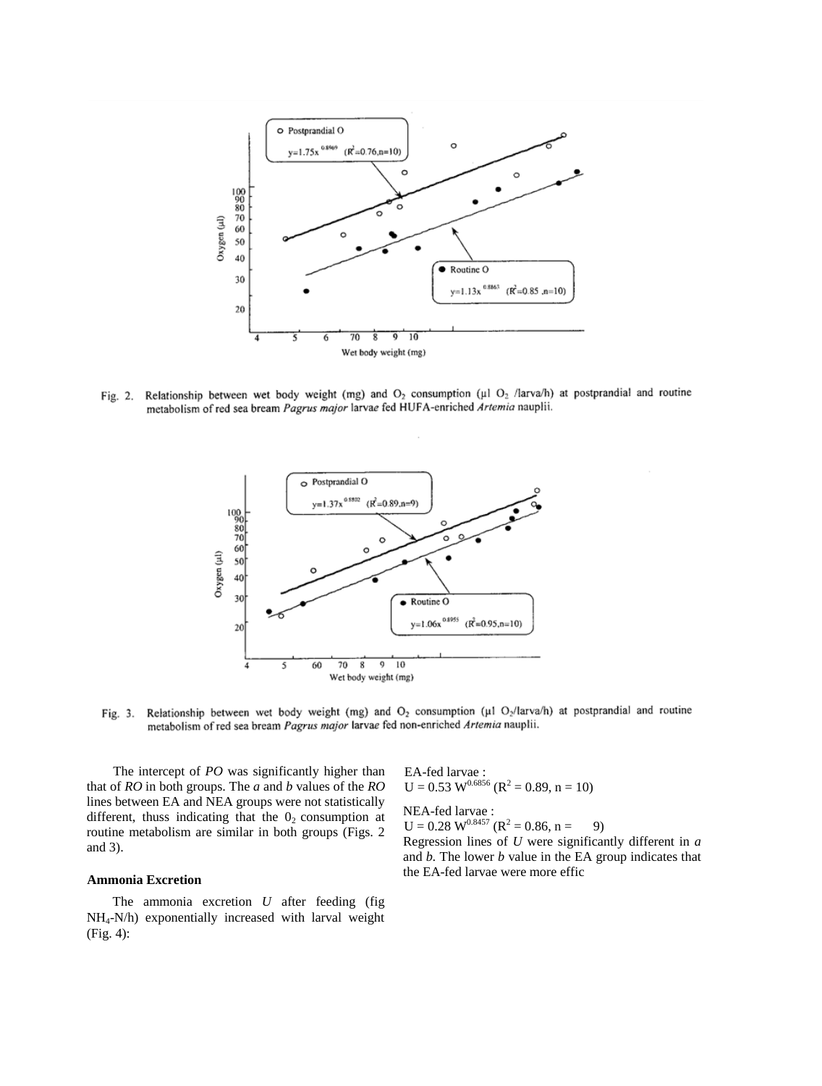

Fig. 2. Relationship between wet body weight (mg) and  $O_2$  consumption (µ1  $O_2$  /larva/h) at postprandial and routine metabolism of red sea bream Pagrus major larvae fed HUFA-enriched Artemia nauplii.



Fig. 3. Relationship between wet body weight (mg) and  $O_2$  consumption ( $\mu$ 1 O<sub>2</sub>/larva/h) at postprandial and routine metabolism of red sea bream Pagrus major larvae fed non-enriched Artemia nauplii.

The intercept of *PO* was significantly higher than that of *RO* in both groups. The *a* and *b* values of the *RO*  lines between EA and NEA groups were not statistically different, thuss indicating that the  $0<sub>2</sub>$  consumption at routine metabolism are similar in both groups (Figs. 2 and 3).

## **Ammonia Excretion**

The ammonia excretion *U* after feeding (fig NH4-N/h) exponentially increased with larval weight (Fig. 4):

EA-fed larvae :  $U = 0.53$  W<sup>0.6856</sup> ( $R^2 = 0.89$ , n = 10)

NEA-fed larvae :  $U = 0.28 W^{0.8457} (R^2 = 0.86, n = 9)$ 

Regression lines of *U* were significantly different in *a* 

and *b.* The lower *b* value in the EA group indicates that the EA-fed larvae were more effic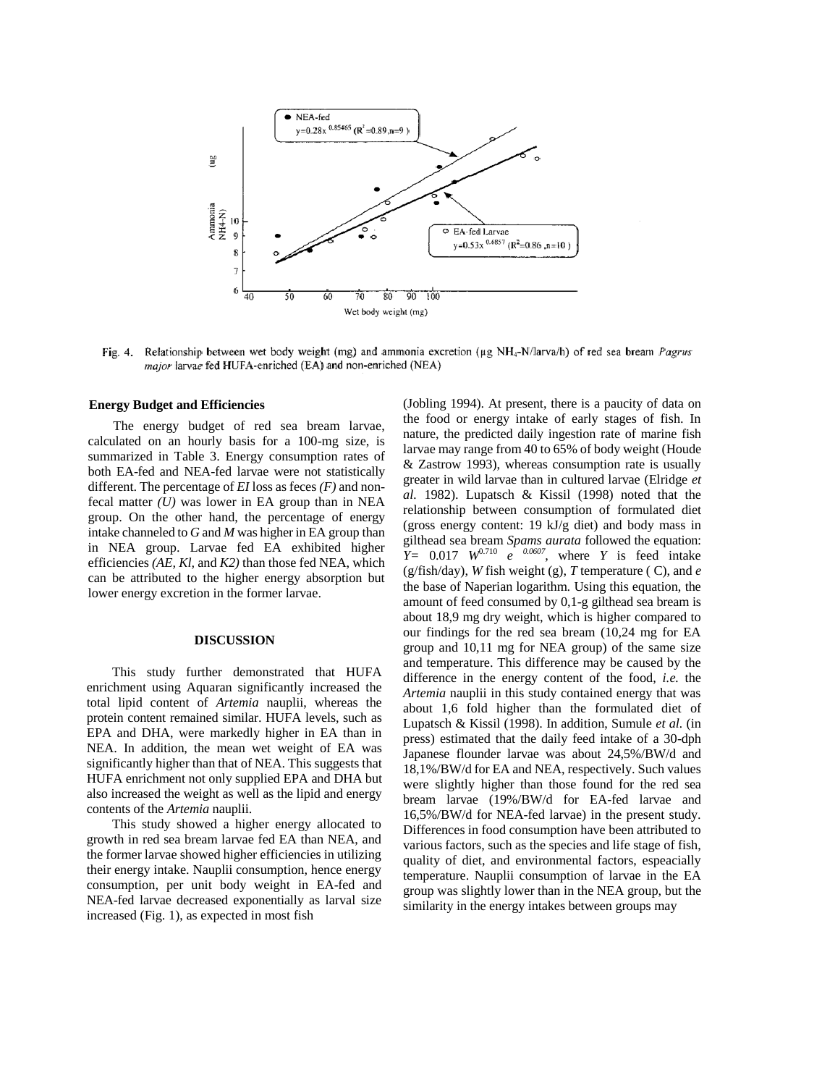

Fig. 4. Relationship between wet body weight (mg) and ammonia excretion (µg NH<sub>4</sub>-N/larva/h) of red sea bream *Pagrus* major larvae fed HUFA-enriched (EA) and non-enriched (NEA)

#### **Energy Budget and Efficiencies**

The energy budget of red sea bream larvae, calculated on an hourly basis for a 100-mg size, is summarized in Table 3. Energy consumption rates of both EA-fed and NEA-fed larvae were not statistically different. The percentage of *EI* loss as feces *(F)* and nonfecal matter *(U)* was lower in EA group than in NEA group. On the other hand, the percentage of energy intake channeled to *G* and *M* was higher in EA group than in NEA group. Larvae fed EA exhibited higher efficiencies *(AE, Kl,* and *K2)* than those fed NEA, which can be attributed to the higher energy absorption but lower energy excretion in the former larvae.

### **DISCUSSION**

This study further demonstrated that HUFA enrichment using Aquaran significantly increased the total lipid content of *Artemia* nauplii, whereas the protein content remained similar. HUFA levels, such as EPA and DHA, were markedly higher in EA than in NEA. In addition, the mean wet weight of EA was significantly higher than that of NEA. This suggests that HUFA enrichment not only supplied EPA and DHA but also increased the weight as well as the lipid and energy contents of the *Artemia* nauplii.

This study showed a higher energy allocated to growth in red sea bream larvae fed EA than NEA, and the former larvae showed higher efficiencies in utilizing their energy intake. Nauplii consumption, hence energy consumption, per unit body weight in EA-fed and NEA-fed larvae decreased exponentially as larval size increased (Fig. 1), as expected in most fish

(Jobling 1994). At present, there is a paucity of data on the food or energy intake of early stages of fish. In nature, the predicted daily ingestion rate of marine fish larvae may range from 40 to 65% of body weight (Houde & Zastrow 1993), whereas consumption rate is usually greater in wild larvae than in cultured larvae (Elridge *et al.* 1982). Lupatsch & Kissil (1998) noted that the relationship between consumption of formulated diet (gross energy content: 19 kJ/g diet) and body mass in gilthead sea bream *Spams aurata* followed the equation:  $Y = 0.017$   $W^{0.710}$  *e*  $0.0607$ , where *Y* is feed intake (g/fish/day), *W* fish weight (g), *T* temperature ( C), and *e*  the base of Naperian logarithm. Using this equation, the amount of feed consumed by 0,1-g gilthead sea bream is about 18,9 mg dry weight, which is higher compared to our findings for the red sea bream (10,24 mg for EA group and 10,11 mg for NEA group) of the same size and temperature. This difference may be caused by the difference in the energy content of the food, *i.e.* the *Artemia* nauplii in this study contained energy that was about 1,6 fold higher than the formulated diet of Lupatsch & Kissil (1998). In addition, Sumule *et al.* (in press) estimated that the daily feed intake of a 30-dph Japanese flounder larvae was about 24,5%/BW/d and 18,1%/BW/d for EA and NEA, respectively. Such values were slightly higher than those found for the red sea bream larvae (19%/BW/d for EA-fed larvae and 16,5%/BW/d for NEA-fed larvae) in the present study. Differences in food consumption have been attributed to various factors, such as the species and life stage of fish, quality of diet, and environmental factors, espeacially temperature. Nauplii consumption of larvae in the EA group was slightly lower than in the NEA group, but the similarity in the energy intakes between groups may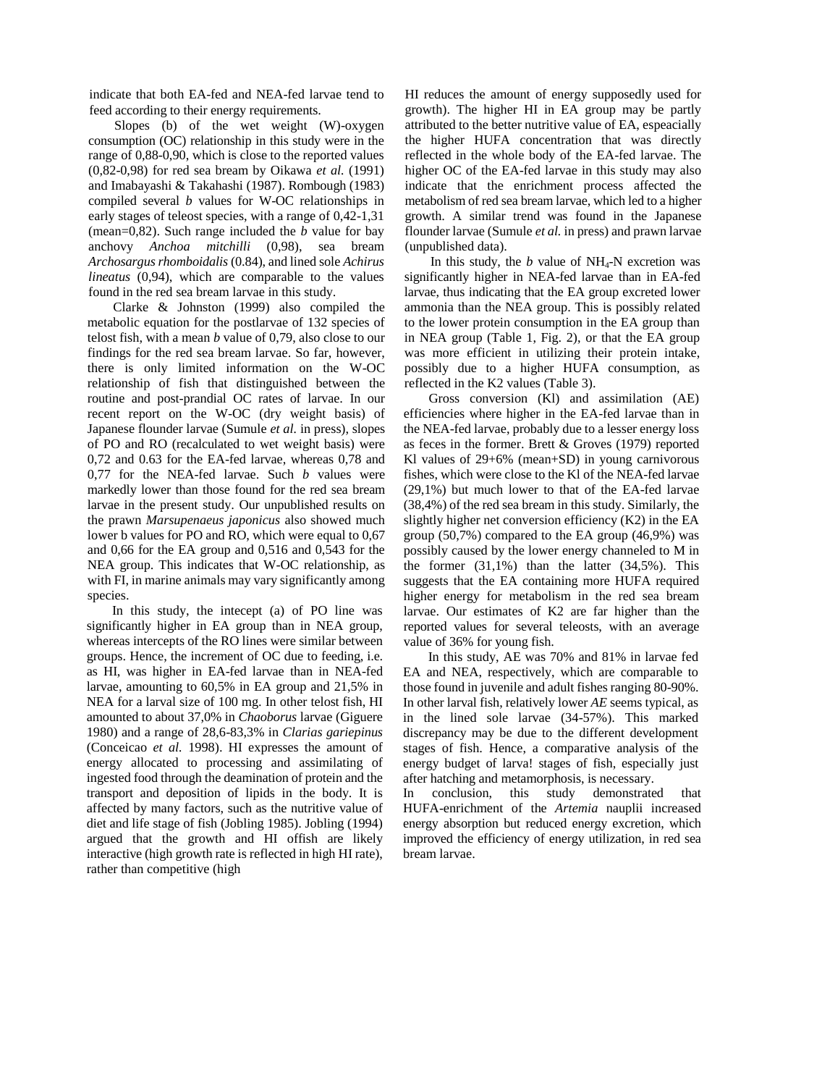indicate that both EA-fed and NEA-fed larvae tend to feed according to their energy requirements.

Slopes (b) of the wet weight (W)-oxygen consumption (OC) relationship in this study were in the range of 0,88-0,90, which is close to the reported values (0,82-0,98) for red sea bream by Oikawa *et al.* (1991) and Imabayashi & Takahashi (1987). Rombough (1983) compiled several *b* values for W-OC relationships in early stages of teleost species, with a range of 0,42-1,31 (mean=0,82). Such range included the *b* value for bay anchovy *Anchoa mitchilli* (0,98), sea bream *Archosargus rhomboidalis* (0.84), and lined sole *Achirus lineatus* (0,94), which are comparable to the values found in the red sea bream larvae in this study.

Clarke & Johnston (1999) also compiled the metabolic equation for the postlarvae of 132 species of telost fish, with a mean *b* value of 0,79, also close to our findings for the red sea bream larvae. So far, however, there is only limited information on the W-OC relationship of fish that distinguished between the routine and post-prandial OC rates of larvae. In our recent report on the W-OC (dry weight basis) of Japanese flounder larvae (Sumule *et al.* in press), slopes of PO and RO (recalculated to wet weight basis) were 0,72 and 0.63 for the EA-fed larvae, whereas 0,78 and 0,77 for the NEA-fed larvae. Such *b* values were markedly lower than those found for the red sea bream larvae in the present study. Our unpublished results on the prawn *Marsupenaeus japonicus* also showed much lower b values for PO and RO, which were equal to 0,67 and 0,66 for the EA group and 0,516 and 0,543 for the NEA group. This indicates that W-OC relationship, as with FI, in marine animals may vary significantly among species.

In this study, the intecept (a) of PO line was significantly higher in EA group than in NEA group, whereas intercepts of the RO lines were similar between groups. Hence, the increment of OC due to feeding, i.e. as HI, was higher in EA-fed larvae than in NEA-fed larvae, amounting to 60,5% in EA group and 21,5% in NEA for a larval size of 100 mg. In other telost fish, HI amounted to about 37,0% in *Chaoborus* larvae (Giguere 1980) and a range of 28,6-83,3% in *Clarias gariepinus*  (Conceicao *et al.* 1998). HI expresses the amount of energy allocated to processing and assimilating of ingested food through the deamination of protein and the transport and deposition of lipids in the body. It is affected by many factors, such as the nutritive value of diet and life stage of fish (Jobling 1985). Jobling (1994) argued that the growth and HI offish are likely interactive (high growth rate is reflected in high HI rate), rather than competitive (high

HI reduces the amount of energy supposedly used for growth). The higher HI in EA group may be partly attributed to the better nutritive value of EA, espeacially the higher HUFA concentration that was directly reflected in the whole body of the EA-fed larvae. The higher OC of the EA-fed larvae in this study may also indicate that the enrichment process affected the metabolism of red sea bream larvae, which led to a higher growth. A similar trend was found in the Japanese flounder larvae (Sumule *et al.* in press) and prawn larvae (unpublished data).

In this study, the  $b$  value of NH<sub>4</sub>-N excretion was significantly higher in NEA-fed larvae than in EA-fed larvae, thus indicating that the EA group excreted lower ammonia than the NEA group. This is possibly related to the lower protein consumption in the EA group than in NEA group (Table 1, Fig. 2), or that the EA group was more efficient in utilizing their protein intake, possibly due to a higher HUFA consumption, as reflected in the K2 values (Table 3).

Gross conversion (Kl) and assimilation (AE) efficiencies where higher in the EA-fed larvae than in the NEA-fed larvae, probably due to a lesser energy loss as feces in the former. Brett & Groves (1979) reported Kl values of 29+6% (mean+SD) in young carnivorous fishes, which were close to the Kl of the NEA-fed larvae (29,1%) but much lower to that of the EA-fed larvae (38,4%) of the red sea bream in this study. Similarly, the slightly higher net conversion efficiency (K2) in the EA group (50,7%) compared to the EA group (46,9%) was possibly caused by the lower energy channeled to M in the former  $(31,1\%)$  than the latter  $(34,5\%)$ . This suggests that the EA containing more HUFA required higher energy for metabolism in the red sea bream larvae. Our estimates of K2 are far higher than the reported values for several teleosts, with an average value of 36% for young fish.

In this study, AE was 70% and 81% in larvae fed EA and NEA, respectively, which are comparable to those found in juvenile and adult fishes ranging 80-90%. In other larval fish, relatively lower *AE* seems typical, as in the lined sole larvae (34-57%). This marked discrepancy may be due to the different development stages of fish. Hence, a comparative analysis of the energy budget of larva! stages of fish, especially just after hatching and metamorphosis, is necessary.

In conclusion, this study demonstrated that HUFA-enrichment of the *Artemia* nauplii increased energy absorption but reduced energy excretion, which improved the efficiency of energy utilization, in red sea bream larvae.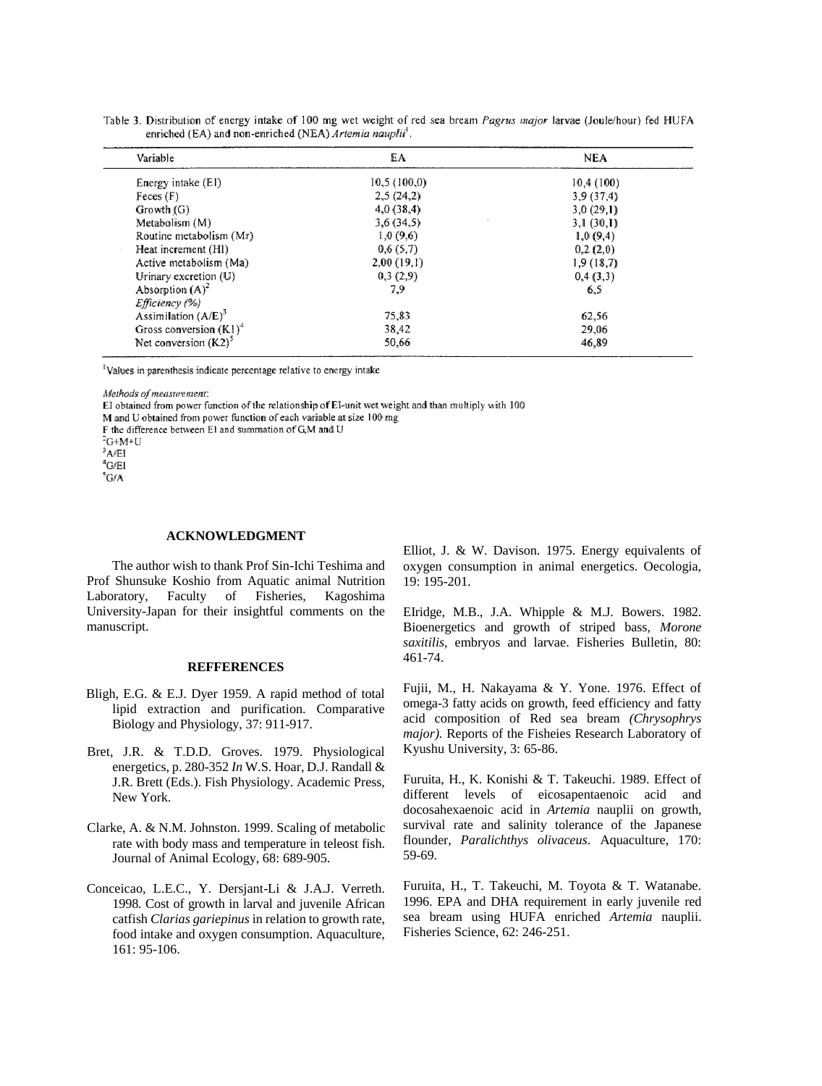| Variable                  | EA          | NEA       |
|---------------------------|-------------|-----------|
| Energy intake (EI)        | 10,5(100,0) | 10,4(100) |
| Feces(F)                  | 2,5(24,2)   | 3,9(37,4) |
| Growth (G)                | 4,0(38,4)   | 3,0(29,1) |
| Metabolism (M)            | 3,6(34,5)   | 3,1(30,1) |
| Routine metabolism (Mr)   | 1,0(9,6)    | 1,0(9,4)  |
| Heat increment (HI)       | 0,6(5,7)    | 0,2(2,0)  |
| Active metabolism (Ma)    | 2,00(19,1)  | 1,9(18,7) |
| Urinary excretion (U)     | 0,3(2,9)    | 0,4(3,3)  |
| Absorption $(A)^2$        | 7,9         | 6,5       |
| Efficiency (%)            |             |           |
| Assimilation $(A/E)^3$    | 75,83       | 62,56     |
| Gross conversion $(K1)^4$ | 38,42       | 29,06     |
| Net conversion $(K2)^5$   | 50,66       | 46,89     |

Table 3. Distribution of energy intake of 100 mg wet weight of red sea bream Pagrus major larvae (Joule/hour) fed HUFA enriched (EA) and non-enriched (NEA) Artemia nauplii<sup>1</sup>.

Values in parenthesis indicate percentage relative to energy intake

Methods of measurement:

EI obtained from power function of the relationship of EI-unit wet weight and than multiply with 100

M and U obtained from power function of each variable at size 100 mg

F the difference between El and summation of GM and U

 $4$ G/EI <sup>5</sup>G/A

## **ACKNOWLEDGMENT**

The author wish to thank Prof Sin-Ichi Teshima and Prof Shunsuke Koshio from Aquatic animal Nutrition Laboratory, Faculty of Fisheries, Kagoshima University-Japan for their insightful comments on the manuscript.

### **REFFERENCES**

- Bligh, E.G. & E.J. Dyer 1959. A rapid method of total lipid extraction and purification. Comparative Biology and Physiology, 37: 911-917.
- Bret, J.R. & T.D.D. Groves. 1979. Physiological energetics, p. 280-352 *In* W.S. Hoar, D.J. Randall & J.R. Brett (Eds.). Fish Physiology. Academic Press, New York.
- Clarke, A. & N.M. Johnston. 1999. Scaling of metabolic rate with body mass and temperature in teleost fish. Journal of Animal Ecology, 68: 689-905.
- Conceicao, L.E.C., Y. Dersjant-Li & J.A.J. Verreth. 1998. Cost of growth in larval and juvenile African catfish *Clarias gariepinus* in relation to growth rate, food intake and oxygen consumption. Aquaculture, 161: 95-106.

Elliot, J. & W. Davison. 1975. Energy equivalents of oxygen consumption in animal energetics. Oecologia, 19: 195-201.

EIridge, M.B., J.A. Whipple & M.J. Bowers. 1982. Bioenergetics and growth of striped bass, *Morone saxitilis,* embryos and larvae. Fisheries Bulletin, 80: 461-74.

Fujii, M., H. Nakayama & Y. Yone. 1976. Effect of omega-3 fatty acids on growth, feed efficiency and fatty acid composition of Red sea bream *(Chrysophrys major).* Reports of the Fisheies Research Laboratory of Kyushu University, 3: 65-86.

Furuita, H., K. Konishi & T. Takeuchi. 1989. Effect of different levels of eicosapentaenoic acid and docosahexaenoic acid in *Artemia* nauplii on growth, survival rate and salinity tolerance of the Japanese flounder, *Paralichthys olivaceus.* Aquaculture, 170: 59-69.

Furuita, H., T. Takeuchi, M. Toyota & T. Watanabe. 1996. EPA and DHA requirement in early juvenile red sea bream using HUFA enriched *Artemia* nauplii. Fisheries Science, 62: 246-251.

<sup>&</sup>lt;sup>2</sup>G+M+U

 $A/EI$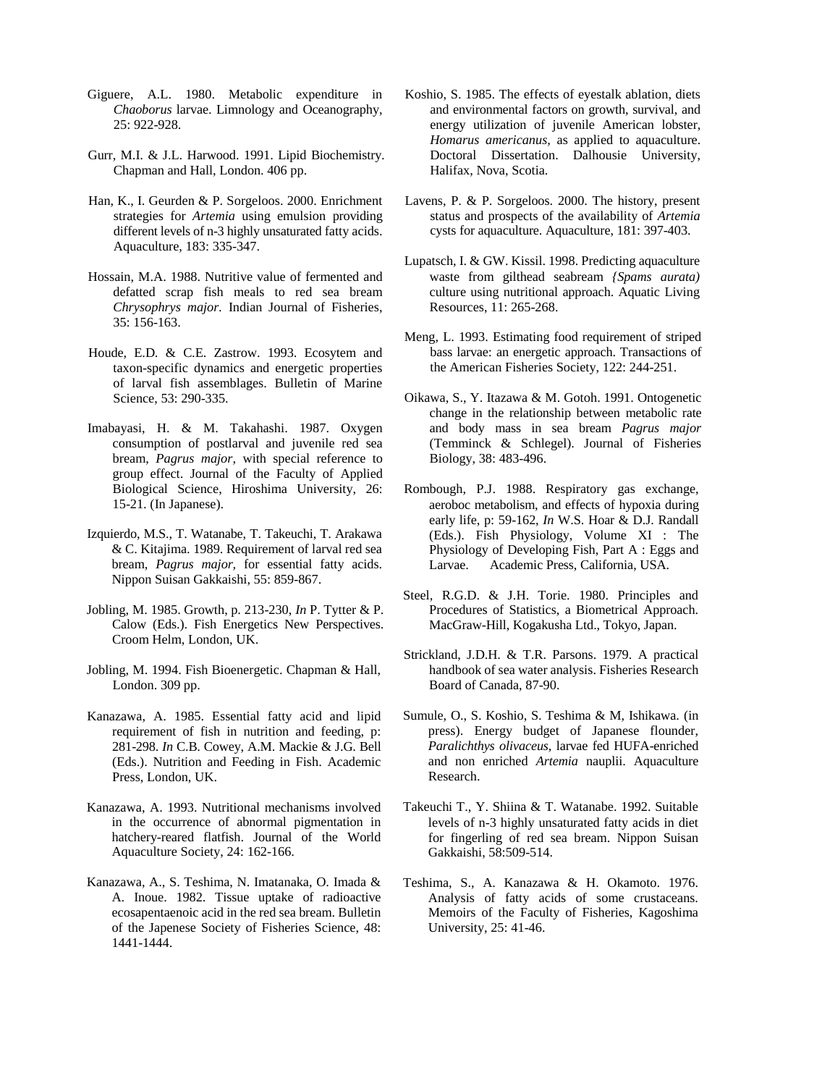- Giguere, A.L. 1980. Metabolic expenditure in *Chaoborus* larvae. Limnology and Oceanography, 25: 922-928.
- Gurr, M.I. & J.L. Harwood. 1991. Lipid Biochemistry. Chapman and Hall, London. 406 pp.
- Han, K., I. Geurden & P. Sorgeloos. 2000. Enrichment strategies for *Artemia* using emulsion providing different levels of n-3 highly unsaturated fatty acids. Aquaculture, 183: 335-347.
- Hossain, M.A. 1988. Nutritive value of fermented and defatted scrap fish meals to red sea bream *Chrysophrys major.* Indian Journal of Fisheries, 35: 156-163.
- Houde, E.D. & C.E. Zastrow. 1993. Ecosytem and taxon-specific dynamics and energetic properties of larval fish assemblages. Bulletin of Marine Science, 53: 290-335.
- Imabayasi, H. & M. Takahashi. 1987. Oxygen consumption of postlarval and juvenile red sea bream, *Pagrus major,* with special reference to group effect. Journal of the Faculty of Applied Biological Science, Hiroshima University, 26: 15-21. (In Japanese).
- Izquierdo, M.S., T. Watanabe, T. Takeuchi, T. Arakawa & C. Kitajima. 1989. Requirement of larval red sea bream, *Pagrus major,* for essential fatty acids. Nippon Suisan Gakkaishi, 55: 859-867.
- Jobling, M. 1985. Growth, p. 213-230, *In* P. Tytter & P. Calow (Eds.). Fish Energetics New Perspectives. Croom Helm, London, UK.
- Jobling, M. 1994. Fish Bioenergetic. Chapman & Hall, London. 309 pp.
- Kanazawa, A. 1985. Essential fatty acid and lipid requirement of fish in nutrition and feeding, p: 281-298. *In* C.B. Cowey, A.M. Mackie & J.G. Bell (Eds.). Nutrition and Feeding in Fish. Academic Press, London, UK.
- Kanazawa, A. 1993. Nutritional mechanisms involved in the occurrence of abnormal pigmentation in hatchery-reared flatfish. Journal of the World Aquaculture Society, 24: 162-166.
- Kanazawa, A., S. Teshima, N. Imatanaka, O. Imada & A. Inoue. 1982. Tissue uptake of radioactive ecosapentaenoic acid in the red sea bream. Bulletin of the Japenese Society of Fisheries Science, 48: 1441-1444.
- Koshio, S. 1985. The effects of eyestalk ablation, diets and environmental factors on growth, survival, and energy utilization of juvenile American lobster, *Homarus americanus,* as applied to aquaculture. Doctoral Dissertation. Dalhousie University, Halifax, Nova, Scotia.
- Lavens, P. & P. Sorgeloos. 2000. The history, present status and prospects of the availability of *Artemia*  cysts for aquaculture. Aquaculture, 181: 397-403.
- Lupatsch, I. & GW. Kissil. 1998. Predicting aquaculture waste from gilthead seabream *{Spams aurata)*  culture using nutritional approach. Aquatic Living Resources, 11: 265-268.
- Meng, L. 1993. Estimating food requirement of striped bass larvae: an energetic approach. Transactions of the American Fisheries Society, 122: 244-251.
- Oikawa, S., Y. Itazawa & M. Gotoh. 1991. Ontogenetic change in the relationship between metabolic rate and body mass in sea bream *Pagrus major*  (Temminck & Schlegel). Journal of Fisheries Biology, 38: 483-496.
- Rombough, P.J. 1988. Respiratory gas exchange, aeroboc metabolism, and effects of hypoxia during early life, p: 59-162, *In* W.S. Hoar & D.J. Randall (Eds.). Fish Physiology, Volume XI : The Physiology of Developing Fish, Part A : Eggs and Larvae. Academic Press, California, USA.
- Steel, R.G.D. & J.H. Torie. 1980. Principles and Procedures of Statistics, a Biometrical Approach. MacGraw-Hill, Kogakusha Ltd., Tokyo, Japan.
- Strickland, J.D.H. & T.R. Parsons. 1979. A practical handbook of sea water analysis. Fisheries Research Board of Canada, 87-90.
- Sumule, O., S. Koshio, S. Teshima & M, Ishikawa. (in press). Energy budget of Japanese flounder, *Paralichthys olivaceus,* larvae fed HUFA-enriched and non enriched *Artemia* nauplii. Aquaculture Research.
- Takeuchi T., Y. Shiina & T. Watanabe. 1992. Suitable levels of n-3 highly unsaturated fatty acids in diet for fingerling of red sea bream. Nippon Suisan Gakkaishi, 58:509-514.
- Teshima, S., A. Kanazawa & H. Okamoto. 1976. Analysis of fatty acids of some crustaceans. Memoirs of the Faculty of Fisheries, Kagoshima University, 25: 41-46.